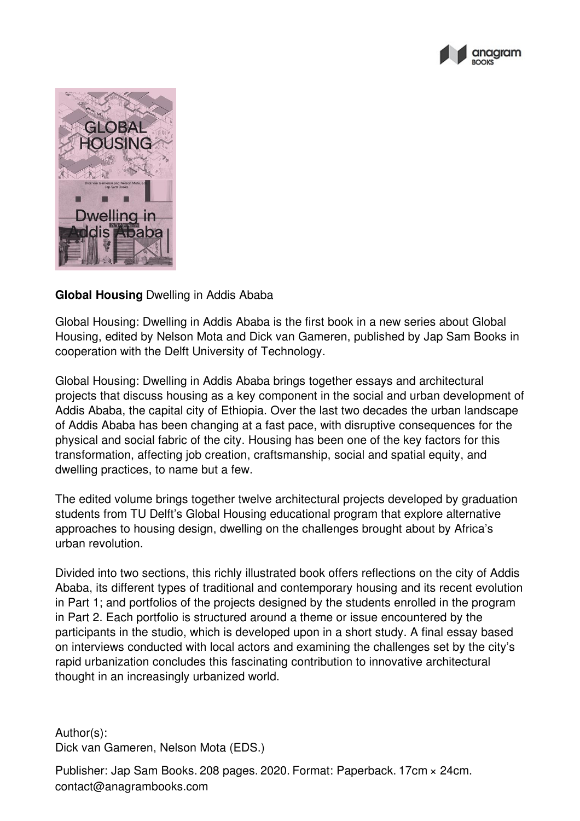



## **Global Housing** Dwelling in Addis Ababa

Global Housing: Dwelling in Addis Ababa is the first book in a new series about Global Housing, edited by Nelson Mota and Dick van Gameren, published by Jap Sam Books in cooperation with the Delft University of Technology.

Global Housing: Dwelling in Addis Ababa brings together essays and architectural projects that discuss housing as a key component in the social and urban development of Addis Ababa, the capital city of Ethiopia. Over the last two decades the urban landscape of Addis Ababa has been changing at a fast pace, with disruptive consequences for the physical and social fabric of the city. Housing has been one of the key factors for this transformation, affecting job creation, craftsmanship, social and spatial equity, and dwelling practices, to name but a few.

The edited volume brings together twelve architectural projects developed by graduation students from TU Delft's Global Housing educational program that explore alternative approaches to housing design, dwelling on the challenges brought about by Africa's urban revolution.

Divided into two sections, this richly illustrated book offers reflections on the city of Addis Ababa, its different types of traditional and contemporary housing and its recent evolution in Part 1; and portfolios of the projects designed by the students enrolled in the program in Part 2. Each portfolio is structured around a theme or issue encountered by the participants in the studio, which is developed upon in a short study. A final essay based on interviews conducted with local actors and examining the challenges set by the city's rapid urbanization concludes this fascinating contribution to innovative architectural thought in an increasingly urbanized world.

Author(s): Dick van Gameren, Nelson Mota (EDS.)

Publisher: Jap Sam Books. 208 pages. 2020. Format: Paperback. 17cm × 24cm. contact@anagrambooks.com